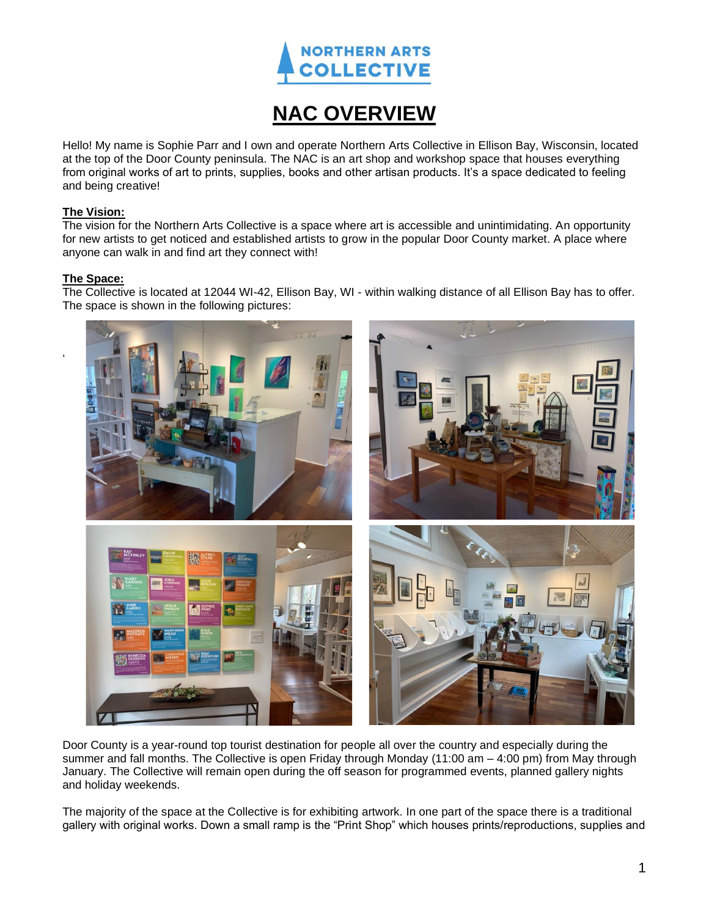

# **NAC OVERVIEW**

Hello! My name is Sophie Parr and I own and operate Northern Arts Collective in Ellison Bay, Wisconsin, located at the top of the Door County peninsula. The NAC is an art shop and workshop space that houses everything from original works of art to prints, supplies, books and other artisan products. It's a space dedicated to feeling and being creative!

### **The Vision:**

The vision for the Northern Arts Collective is a space where art is accessible and unintimidating. An opportunity for new artists to get noticed and established artists to grow in the popular Door County market. A place where anyone can walk in and find art they connect with!

## **The Space:**

'

The Collective is located at 12044 WI-42, Ellison Bay, WI - within walking distance of all Ellison Bay has to offer. The space is shown in the following pictures:



Door County is a year-round top tourist destination for people all over the country and especially during the summer and fall months. The Collective is open Friday through Monday (11:00 am – 4:00 pm) from May through January. The Collective will remain open during the off season for programmed events, planned gallery nights and holiday weekends.

The majority of the space at the Collective is for exhibiting artwork. In one part of the space there is a traditional gallery with original works. Down a small ramp is the "Print Shop" which houses prints/reproductions, supplies and